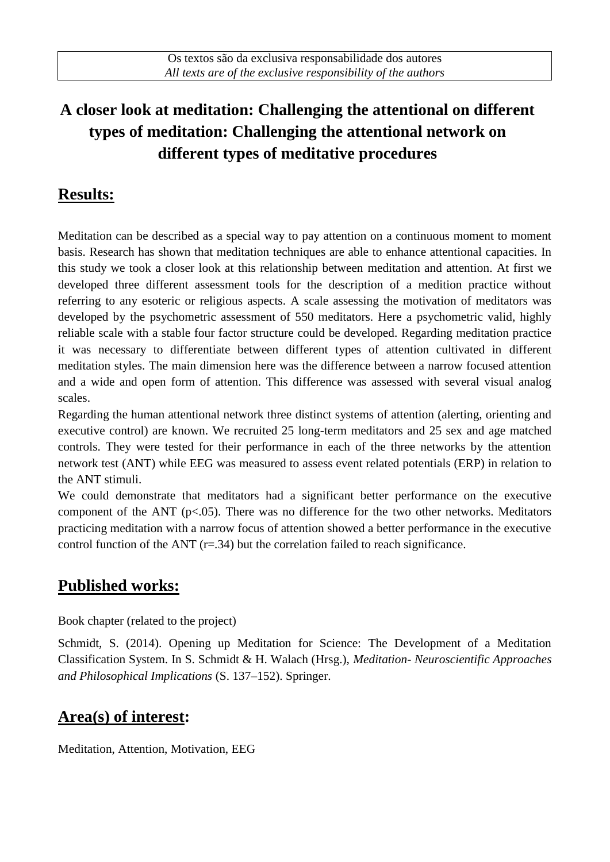# **A closer look at meditation: Challenging the attentional on different types of meditation: Challenging the attentional network on different types of meditative procedures**

### **Results:**

Meditation can be described as a special way to pay attention on a continuous moment to moment basis. Research has shown that meditation techniques are able to enhance attentional capacities. In this study we took a closer look at this relationship between meditation and attention. At first we developed three different assessment tools for the description of a medition practice without referring to any esoteric or religious aspects. A scale assessing the motivation of meditators was developed by the psychometric assessment of 550 meditators. Here a psychometric valid, highly reliable scale with a stable four factor structure could be developed. Regarding meditation practice it was necessary to differentiate between different types of attention cultivated in different meditation styles. The main dimension here was the difference between a narrow focused attention and a wide and open form of attention. This difference was assessed with several visual analog scales.

Regarding the human attentional network three distinct systems of attention (alerting, orienting and executive control) are known. We recruited 25 long-term meditators and 25 sex and age matched controls. They were tested for their performance in each of the three networks by the attention network test (ANT) while EEG was measured to assess event related potentials (ERP) in relation to the ANT stimuli.

We could demonstrate that meditators had a significant better performance on the executive component of the ANT ( $p<0.05$ ). There was no difference for the two other networks. Meditators practicing meditation with a narrow focus of attention showed a better performance in the executive control function of the ANT  $(r=.34)$  but the correlation failed to reach significance.

#### **Published works:**

Book chapter (related to the project)

Schmidt, S. (2014). Opening up Meditation for Science: The Development of a Meditation Classification System. In S. Schmidt & H. Walach (Hrsg.), *Meditation- Neuroscientific Approaches and Philosophical Implications* (S. 137–152). Springer.

## **Area(s) of interest:**

Meditation, Attention, Motivation, EEG